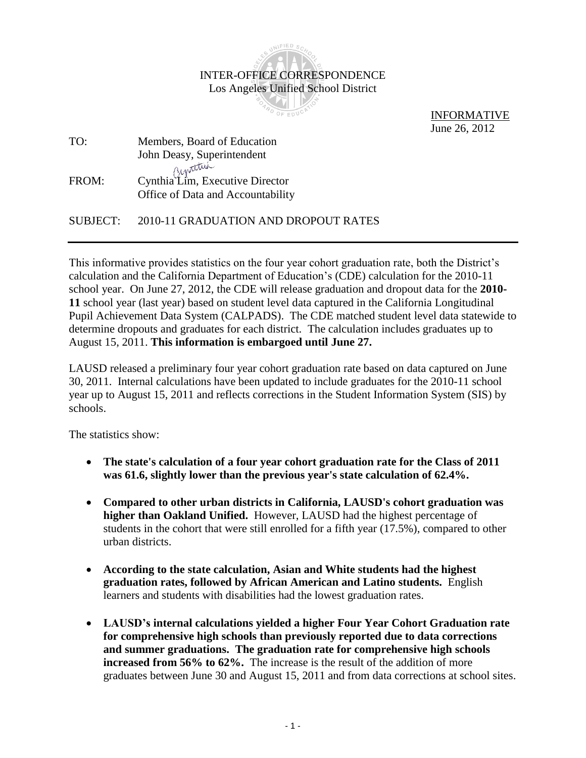

 INFORMATIVE June 26, 2012

TO: Members, Board of Education John Deasy, Superintendent FROM: Cynthia Lim, Executive Director Office of Data and Accountability

SUBJECT: 2010-11 GRADUATION AND DROPOUT RATES

This informative provides statistics on the four year cohort graduation rate, both the District's calculation and the California Department of Education's (CDE) calculation for the 2010-11 school year. On June 27, 2012, the CDE will release graduation and dropout data for the **2010- 11** school year (last year) based on student level data captured in the California Longitudinal Pupil Achievement Data System (CALPADS). The CDE matched student level data statewide to determine dropouts and graduates for each district. The calculation includes graduates up to August 15, 2011. **This information is embargoed until June 27.**

LAUSD released a preliminary four year cohort graduation rate based on data captured on June 30, 2011. Internal calculations have been updated to include graduates for the 2010-11 school year up to August 15, 2011 and reflects corrections in the Student Information System (SIS) by schools.

The statistics show:

- **The state's calculation of a four year cohort graduation rate for the Class of 2011 was 61.6, slightly lower than the previous year's state calculation of 62.4%.**
- **Compared to other urban districts in California, LAUSD's cohort graduation was higher than Oakland Unified.** However, LAUSD had the highest percentage of students in the cohort that were still enrolled for a fifth year (17.5%), compared to other urban districts.
- **According to the state calculation, Asian and White students had the highest graduation rates, followed by African American and Latino students.** English learners and students with disabilities had the lowest graduation rates.
- **LAUSD's internal calculations yielded a higher Four Year Cohort Graduation rate for comprehensive high schools than previously reported due to data corrections and summer graduations. The graduation rate for comprehensive high schools increased from 56% to 62%.** The increase is the result of the addition of more graduates between June 30 and August 15, 2011 and from data corrections at school sites.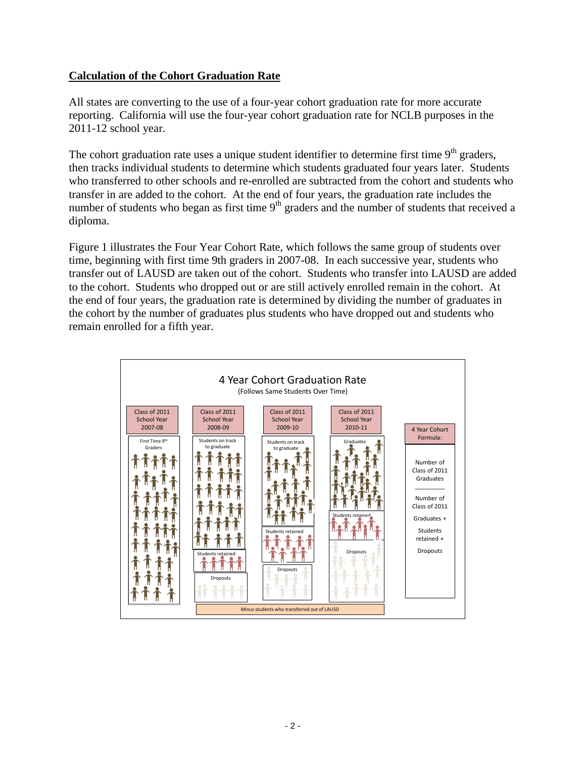# **Calculation of the Cohort Graduation Rate**

All states are converting to the use of a four-year cohort graduation rate for more accurate reporting. California will use the four-year cohort graduation rate for NCLB purposes in the 2011-12 school year.

The cohort graduation rate uses a unique student identifier to determine first time  $9<sup>th</sup>$  graders, then tracks individual students to determine which students graduated four years later. Students who transferred to other schools and re-enrolled are subtracted from the cohort and students who transfer in are added to the cohort. At the end of four years, the graduation rate includes the number of students who began as first time  $9<sup>th</sup>$  graders and the number of students that received a diploma.

Figure 1 illustrates the Four Year Cohort Rate, which follows the same group of students over time, beginning with first time 9th graders in 2007-08. In each successive year, students who transfer out of LAUSD are taken out of the cohort. Students who transfer into LAUSD are added to the cohort. Students who dropped out or are still actively enrolled remain in the cohort. At the end of four years, the graduation rate is determined by dividing the number of graduates in the cohort by the number of graduates plus students who have dropped out and students who remain enrolled for a fifth year.

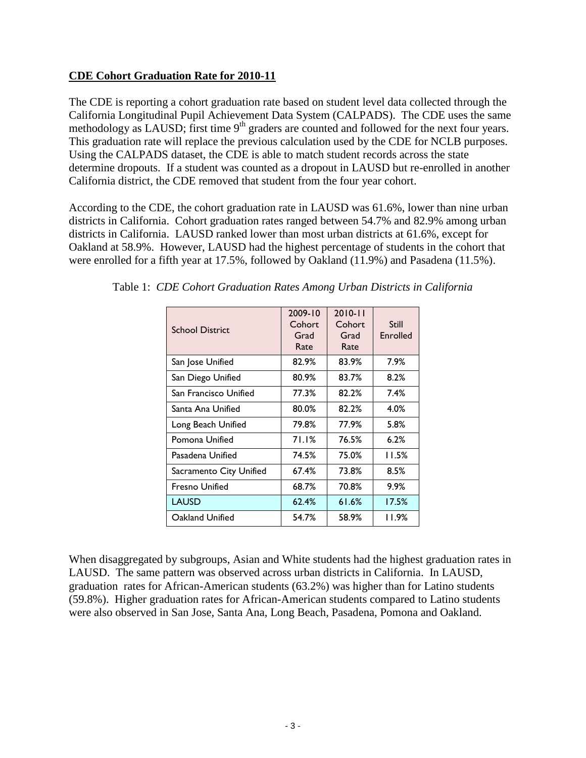#### **CDE Cohort Graduation Rate for 2010-11**

The CDE is reporting a cohort graduation rate based on student level data collected through the California Longitudinal Pupil Achievement Data System (CALPADS). The CDE uses the same methodology as LAUSD; first time  $9<sup>th</sup>$  graders are counted and followed for the next four years. This graduation rate will replace the previous calculation used by the CDE for NCLB purposes. Using the CALPADS dataset, the CDE is able to match student records across the state determine dropouts. If a student was counted as a dropout in LAUSD but re-enrolled in another California district, the CDE removed that student from the four year cohort.

According to the CDE, the cohort graduation rate in LAUSD was 61.6%, lower than nine urban districts in California. Cohort graduation rates ranged between 54.7% and 82.9% among urban districts in California. LAUSD ranked lower than most urban districts at 61.6%, except for Oakland at 58.9%. However, LAUSD had the highest percentage of students in the cohort that were enrolled for a fifth year at 17.5%, followed by Oakland (11.9%) and Pasadena (11.5%).

| <b>School District</b>  | 2009-10<br>Cohort<br>Grad<br>Rate | $2010 - 11$<br>Cohort<br>Grad<br>Rate | Still<br>Enrolled |
|-------------------------|-----------------------------------|---------------------------------------|-------------------|
| San Jose Unified        | 82.9%                             | 83.9%                                 | 7.9%              |
| San Diego Unified       | 80.9%                             | 83.7%                                 | 8.2%              |
| San Francisco Unified   | 77.3%                             | 82.2%                                 | 7.4%              |
| Santa Ana Unified       | 80.0%                             | 82.2%                                 | 4.0%              |
| Long Beach Unified      | 79.8%                             | 77.9%                                 | 5.8%              |
| Pomona Unified          | 71.1%                             | 76.5%                                 | 6.2%              |
| Pasadena Unified        | 74.5%                             | 75.0%                                 | 11.5%             |
| Sacramento City Unified | 67.4%                             | 73.8%                                 | 8.5%              |
| <b>Fresno Unified</b>   | 68.7%                             | 70.8%                                 | 9.9%              |
| <b>LAUSD</b>            | 62.4%                             | 61.6%                                 | 17.5%             |
| Oakland Unified         | 54.7%                             | 58.9%                                 | 11.9%             |

Table 1: *CDE Cohort Graduation Rates Among Urban Districts in California*

When disaggregated by subgroups, Asian and White students had the highest graduation rates in LAUSD. The same pattern was observed across urban districts in California. In LAUSD, graduation rates for African-American students (63.2%) was higher than for Latino students (59.8%). Higher graduation rates for African-American students compared to Latino students were also observed in San Jose, Santa Ana, Long Beach, Pasadena, Pomona and Oakland.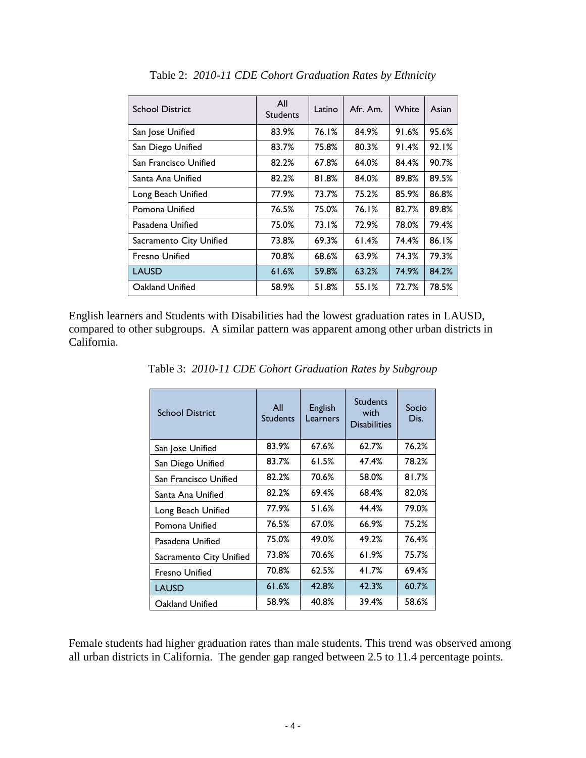| <b>School District</b>  | All<br><b>Students</b> | Latino | Afr. Am. | White | Asian |
|-------------------------|------------------------|--------|----------|-------|-------|
| San Jose Unified        | 83.9%                  | 76.1%  | 84.9%    | 91.6% | 95.6% |
| San Diego Unified       | 83.7%                  | 75.8%  | 80.3%    | 91.4% | 92.1% |
| San Francisco Unified   | 82.2%                  | 67.8%  | 64.0%    | 84.4% | 90.7% |
| Santa Ana Unified       | 82.2%                  | 81.8%  | 84.0%    | 89.8% | 89.5% |
| Long Beach Unified      | 77.9%                  | 73.7%  | 75.2%    | 85.9% | 86.8% |
| Pomona Unified          | 76.5%                  | 75.0%  | 76.1%    | 82.7% | 89.8% |
| Pasadena Unified        | 75.0%                  | 73.1%  | 72.9%    | 78.0% | 79.4% |
| Sacramento City Unified | 73.8%                  | 69.3%  | 61.4%    | 74.4% | 86.1% |
| <b>Fresno Unified</b>   | 70.8%                  | 68.6%  | 63.9%    | 74.3% | 79.3% |
| <b>LAUSD</b>            | 61.6%                  | 59.8%  | 63.2%    | 74.9% | 84.2% |
| Oakland Unified         | 58.9%                  | 51.8%  | 55.1%    | 72.7% | 78.5% |

Table 2: *2010-11 CDE Cohort Graduation Rates by Ethnicity*

English learners and Students with Disabilities had the lowest graduation rates in LAUSD, compared to other subgroups. A similar pattern was apparent among other urban districts in California.

| <b>School District</b>  | All<br><b>Students</b> | English<br>Learners | <b>Students</b><br>with<br><b>Disabilities</b> | Socio<br>Dis. |
|-------------------------|------------------------|---------------------|------------------------------------------------|---------------|
| San Jose Unified        | 83.9%                  | 67.6%               | 62.7%                                          | 76.2%         |
| San Diego Unified       | 83.7%                  | 61.5%               | 47.4%                                          | 78.2%         |
| San Francisco Unified   | 82.2%                  | 70.6%               | 58.0%                                          | 81.7%         |
| Santa Ana Unified       | 82.2%                  | 69.4%               | 68.4%                                          | 82.0%         |
| Long Beach Unified      | 77.9%                  | 51.6%               | 44.4%                                          | 79.0%         |
| Pomona Unified          | 76.5%                  | 67.0%               | 66.9%                                          | 75.2%         |
| Pasadena Unified        | 75.0%                  | 49.0%               | 49.2%                                          | 76.4%         |
| Sacramento City Unified | 73.8%                  | 70.6%               | 61.9%                                          | 75.7%         |
| <b>Fresno Unified</b>   | 70.8%                  | 62.5%               | 41.7%                                          | 69.4%         |
| <b>LAUSD</b>            | 61.6%                  | 42.8%               | 42.3%                                          | 60.7%         |
| Oakland Unified         | 58.9%                  | 40.8%               | 39.4%                                          | 58.6%         |

Table 3: *2010-11 CDE Cohort Graduation Rates by Subgroup*

Female students had higher graduation rates than male students. This trend was observed among all urban districts in California. The gender gap ranged between 2.5 to 11.4 percentage points.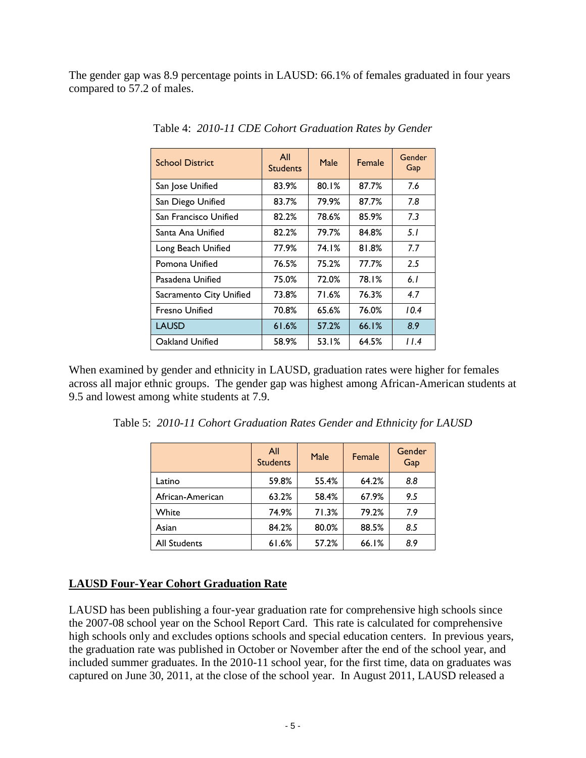The gender gap was 8.9 percentage points in LAUSD: 66.1% of females graduated in four years compared to 57.2 of males.

| <b>School District</b>  | All<br><b>Students</b> | Male  | Female | Gender<br>Gap |
|-------------------------|------------------------|-------|--------|---------------|
| San Jose Unified        | 83.9%                  | 80.1% | 87.7%  | 7.6           |
| San Diego Unified       | 83.7%                  | 79.9% | 87.7%  | 7.8           |
| San Francisco Unified   | 82.2%                  | 78.6% | 85.9%  | 7.3           |
| Santa Ana Unified       | 82.2%                  | 79.7% | 84.8%  | 5.1           |
| Long Beach Unified      | 77.9%                  | 74.1% | 81.8%  | 77            |
| Pomona Unified          | 76.5%                  | 75.2% | 77.7%  | 2.5           |
| Pasadena Unified        | 75.0%                  | 72.0% | 78.1%  | 6.1           |
| Sacramento City Unified | 73.8%                  | 71.6% | 76.3%  | 4.7           |
| <b>Fresno Unified</b>   | 70.8%                  | 65.6% | 76.0%  | 10.4          |
| LAUSD                   | 61.6%                  | 57.2% | 66.1%  | 8.9           |
| Oakland Unified         | 58.9%                  | 53.1% | 64.5%  | 11.4          |

Table 4: *2010-11 CDE Cohort Graduation Rates by Gender*

When examined by gender and ethnicity in LAUSD, graduation rates were higher for females across all major ethnic groups. The gender gap was highest among African-American students at 9.5 and lowest among white students at 7.9.

| Table 5: 2010-11 Cohort Graduation Rates Gender and Ethnicity for LAUSD |  |  |  |  |  |  |  |  |  |
|-------------------------------------------------------------------------|--|--|--|--|--|--|--|--|--|
|-------------------------------------------------------------------------|--|--|--|--|--|--|--|--|--|

|                  | All<br><b>Students</b> | Male  | Female | Gender<br>Gap |
|------------------|------------------------|-------|--------|---------------|
| Latino           | 59.8%                  | 55.4% | 64.2%  | 8.8           |
| African-American | 63.2%                  | 58.4% | 67.9%  | 9.5           |
| White            | 74.9%                  | 71.3% | 79.2%  | 7.9           |
| Asian            | 84.2%                  | 80.0% | 88.5%  | 8.5           |
| All Students     | 61.6%                  | 57.2% | 66.1%  | 8.9           |

### **LAUSD Four-Year Cohort Graduation Rate**

LAUSD has been publishing a four-year graduation rate for comprehensive high schools since the 2007-08 school year on the School Report Card. This rate is calculated for comprehensive high schools only and excludes options schools and special education centers. In previous years, the graduation rate was published in October or November after the end of the school year, and included summer graduates. In the 2010-11 school year, for the first time, data on graduates was captured on June 30, 2011, at the close of the school year. In August 2011, LAUSD released a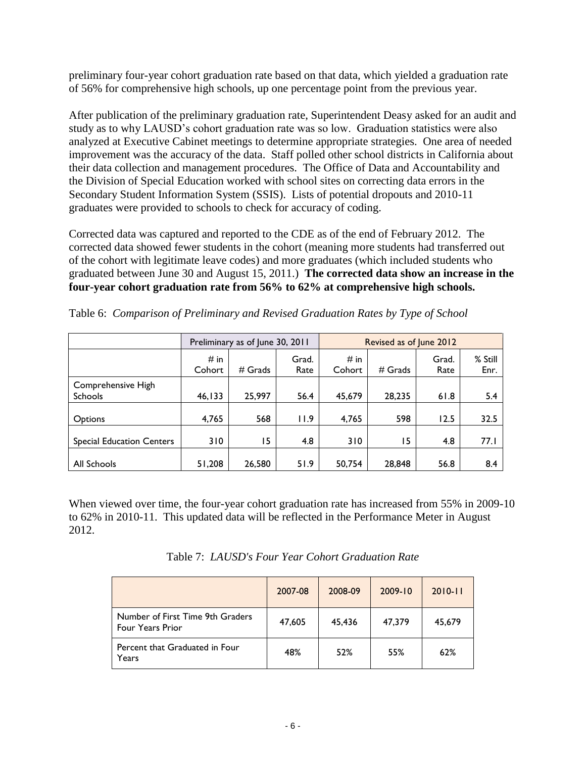preliminary four-year cohort graduation rate based on that data, which yielded a graduation rate of 56% for comprehensive high schools, up one percentage point from the previous year.

After publication of the preliminary graduation rate, Superintendent Deasy asked for an audit and study as to why LAUSD's cohort graduation rate was so low. Graduation statistics were also analyzed at Executive Cabinet meetings to determine appropriate strategies. One area of needed improvement was the accuracy of the data. Staff polled other school districts in California about their data collection and management procedures. The Office of Data and Accountability and the Division of Special Education worked with school sites on correcting data errors in the Secondary Student Information System (SSIS). Lists of potential dropouts and 2010-11 graduates were provided to schools to check for accuracy of coding.

Corrected data was captured and reported to the CDE as of the end of February 2012. The corrected data showed fewer students in the cohort (meaning more students had transferred out of the cohort with legitimate leave codes) and more graduates (which included students who graduated between June 30 and August 15, 2011.) **The corrected data show an increase in the four-year cohort graduation rate from 56% to 62% at comprehensive high schools.**

|                                      |                | Preliminary as of June 30, 2011 |               | Revised as of June 2012 |           |               |                 |
|--------------------------------------|----------------|---------------------------------|---------------|-------------------------|-----------|---------------|-----------------|
|                                      | # in<br>Cohort | $#$ Grads                       | Grad.<br>Rate | $#$ in<br>Cohort        | $#$ Grads | Grad.<br>Rate | % Still<br>Enr. |
| Comprehensive High<br><b>Schools</b> | 46, 133        | 25,997                          | 56.4          | 45,679                  | 28,235    | 61.8          | 5.4             |
| <b>Options</b>                       | 4,765          | 568                             | 11.9          | 4,765                   | 598       | 12.5          | 32.5            |
| <b>Special Education Centers</b>     | 310            | 15                              | 4.8           | 310                     | 15        | 4.8           | 77.1            |
| All Schools                          | 51,208         | 26,580                          | 51.9          | 50,754                  | 28,848    | 56.8          | 8.4             |

Table 6: *Comparison of Preliminary and Revised Graduation Rates by Type of School*

When viewed over time, the four-year cohort graduation rate has increased from 55% in 2009-10 to 62% in 2010-11. This updated data will be reflected in the Performance Meter in August 2012.

Table 7: *LAUSD's Four Year Cohort Graduation Rate*

|                                                             | 2007-08 | 2008-09 | $2009 - 10$ | $2010 - 11$ |
|-------------------------------------------------------------|---------|---------|-------------|-------------|
| Number of First Time 9th Graders<br><b>Four Years Prior</b> | 47,605  | 45,436  | 47.379      | 45.679      |
| Percent that Graduated in Four<br>Years                     | 48%     | 52%     | 55%         | 62%         |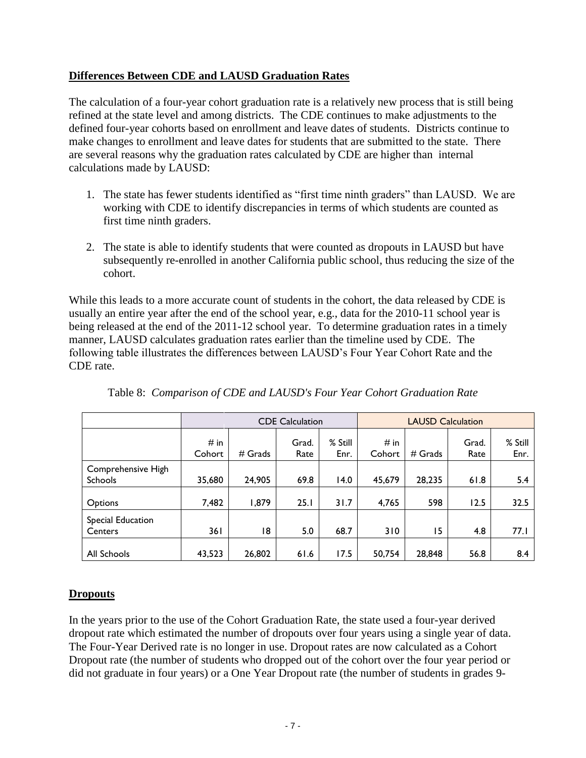# **Differences Between CDE and LAUSD Graduation Rates**

The calculation of a four-year cohort graduation rate is a relatively new process that is still being refined at the state level and among districts. The CDE continues to make adjustments to the defined four-year cohorts based on enrollment and leave dates of students. Districts continue to make changes to enrollment and leave dates for students that are submitted to the state. There are several reasons why the graduation rates calculated by CDE are higher than internal calculations made by LAUSD:

- 1. The state has fewer students identified as "first time ninth graders" than LAUSD. We are working with CDE to identify discrepancies in terms of which students are counted as first time ninth graders.
- 2. The state is able to identify students that were counted as dropouts in LAUSD but have subsequently re-enrolled in another California public school, thus reducing the size of the cohort.

While this leads to a more accurate count of students in the cohort, the data released by CDE is usually an entire year after the end of the school year, e.g., data for the 2010-11 school year is being released at the end of the 2011-12 school year. To determine graduation rates in a timely manner, LAUSD calculates graduation rates earlier than the timeline used by CDE. The following table illustrates the differences between LAUSD's Four Year Cohort Rate and the CDE rate.

|                                      | <b>CDE Calculation</b> |           |               |                 | <b>LAUSD Calculation</b> |           |               |                 |
|--------------------------------------|------------------------|-----------|---------------|-----------------|--------------------------|-----------|---------------|-----------------|
|                                      | # in<br>Cohort         | $#$ Grads | Grad.<br>Rate | % Still<br>Enr. | # in<br>Cohort           | $#$ Grads | Grad.<br>Rate | % Still<br>Enr. |
| Comprehensive High<br><b>Schools</b> | 35,680                 | 24,905    | 69.8          | 14.0            | 45,679                   | 28,235    | 61.8          | 5.4             |
| Options                              | 7,482                  | 1,879     | 25.1          | 31.7            | 4,765                    | 598       | 12.5          | 32.5            |
| Special Education<br>Centers         | 36 I                   | 18        | 5.0           | 68.7            | 310                      | 15        | 4.8           | 77.1            |
| All Schools                          | 43,523                 | 26,802    | 61.6          | 17.5            | 50,754                   | 28,848    | 56.8          | 8.4             |

Table 8: *Comparison of CDE and LAUSD's Four Year Cohort Graduation Rate* 

# **Dropouts**

In the years prior to the use of the Cohort Graduation Rate, the state used a four-year derived dropout rate which estimated the number of dropouts over four years using a single year of data. The Four-Year Derived rate is no longer in use. Dropout rates are now calculated as a Cohort Dropout rate (the number of students who dropped out of the cohort over the four year period or did not graduate in four years) or a One Year Dropout rate (the number of students in grades 9-